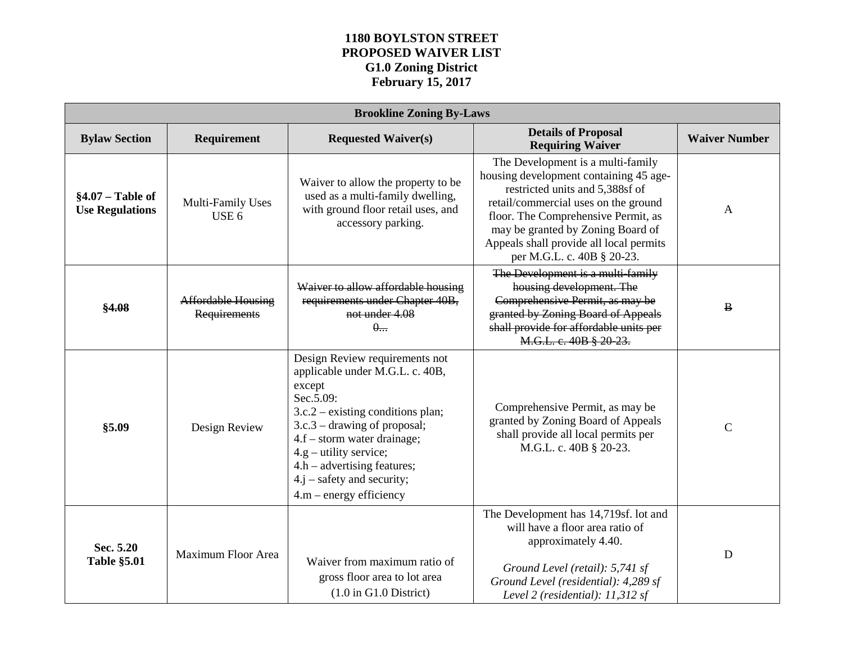## **1180 BOYLSTON STREET PROPOSED WAIVER LIST G1.0 Zoning District February 15, 2017**

| <b>Brookline Zoning By-Laws</b>              |                                           |                                                                                                                                                                                                                                                                                                                            |                                                                                                                                                                                                                                                                                                             |                      |  |  |
|----------------------------------------------|-------------------------------------------|----------------------------------------------------------------------------------------------------------------------------------------------------------------------------------------------------------------------------------------------------------------------------------------------------------------------------|-------------------------------------------------------------------------------------------------------------------------------------------------------------------------------------------------------------------------------------------------------------------------------------------------------------|----------------------|--|--|
| <b>Bylaw Section</b>                         | Requirement                               | <b>Requested Waiver(s)</b>                                                                                                                                                                                                                                                                                                 | <b>Details of Proposal</b><br><b>Requiring Waiver</b>                                                                                                                                                                                                                                                       | <b>Waiver Number</b> |  |  |
| $§4.07 - Table of$<br><b>Use Regulations</b> | Multi-Family Uses<br>USE <sub>6</sub>     | Waiver to allow the property to be<br>used as a multi-family dwelling,<br>with ground floor retail uses, and<br>accessory parking.                                                                                                                                                                                         | The Development is a multi-family<br>housing development containing 45 age-<br>restricted units and 5,388sf of<br>retail/commercial uses on the ground<br>floor. The Comprehensive Permit, as<br>may be granted by Zoning Board of<br>Appeals shall provide all local permits<br>per M.G.L. c. 40B § 20-23. | $\mathbf{A}$         |  |  |
| \$4.08                                       | <b>Affordable Housing</b><br>Requirements | Waiver to allow affordable housing<br>requirements under Chapter 40B,<br>not under 4.08<br>$0 -$                                                                                                                                                                                                                           | The Development is a multi-family<br>housing development. The<br>Comprehensive Permit, as may be<br>granted by Zoning Board of Appeals<br>shall provide for affordable units per<br>M.G.L. c. 40B § 20-23.                                                                                                  | $\, {\bf B}$         |  |  |
| \$5.09                                       | Design Review                             | Design Review requirements not<br>applicable under M.G.L. c. 40B,<br>except<br>Sec.5.09:<br>$3.c.2$ – existing conditions plan;<br>$3.c.3$ – drawing of proposal;<br>4.f – storm water drainage;<br>$4.g - utility service;$<br>$4.h - advertising features;$<br>$4.j - safety$ and security;<br>$4.m - energy efficiency$ | Comprehensive Permit, as may be<br>granted by Zoning Board of Appeals<br>shall provide all local permits per<br>M.G.L. c. 40B § 20-23.                                                                                                                                                                      | $\mathcal{C}$        |  |  |
| Sec. 5.20<br><b>Table §5.01</b>              | Maximum Floor Area                        | Waiver from maximum ratio of<br>gross floor area to lot area<br>$(1.0 \text{ in } G1.0 \text{ District})$                                                                                                                                                                                                                  | The Development has 14,719sf. lot and<br>will have a floor area ratio of<br>approximately 4.40.<br>Ground Level (retail): 5,741 sf<br>Ground Level (residential): 4,289 sf<br>Level 2 (residential): 11,312 sf                                                                                              | D                    |  |  |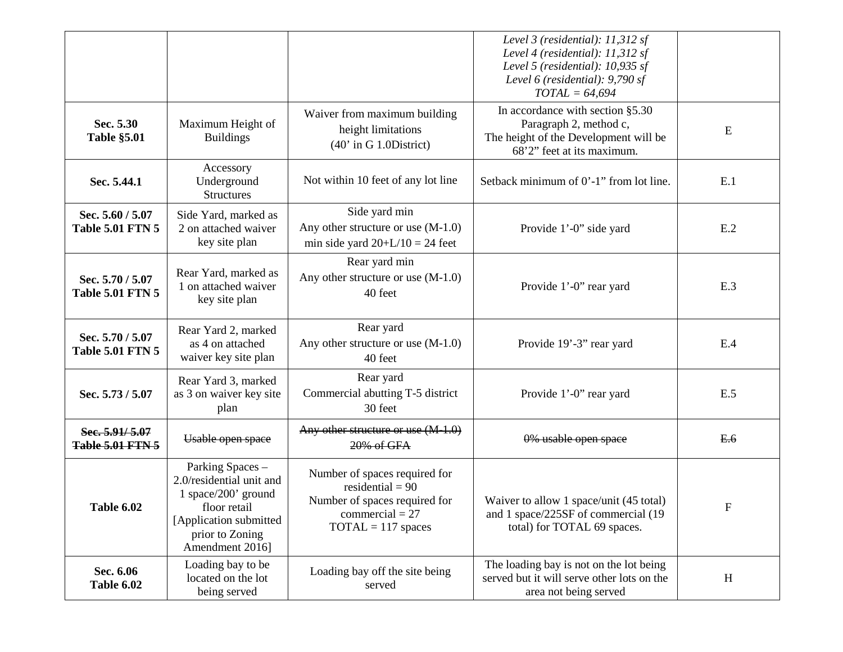|                                             |                                                                                                                                                      |                                                                                                                                   | Level 3 (residential): $11,312$ sf<br>Level 4 (residential): 11,312 sf<br>Level 5 (residential): 10,935 sf<br>Level 6 (residential): 9,790 sf<br>$TOTAL = 64,694$ |             |
|---------------------------------------------|------------------------------------------------------------------------------------------------------------------------------------------------------|-----------------------------------------------------------------------------------------------------------------------------------|-------------------------------------------------------------------------------------------------------------------------------------------------------------------|-------------|
| Sec. 5.30<br><b>Table §5.01</b>             | Maximum Height of<br><b>Buildings</b>                                                                                                                | Waiver from maximum building<br>height limitations<br>$(40'$ in G 1.0District)                                                    | In accordance with section §5.30<br>Paragraph 2, method c,<br>The height of the Development will be<br>68'2" feet at its maximum.                                 | E           |
| Sec. 5.44.1                                 | Accessory<br>Underground<br><b>Structures</b>                                                                                                        | Not within 10 feet of any lot line                                                                                                | Setback minimum of 0'-1" from lot line.                                                                                                                           | E.1         |
| Sec. 5.60 / 5.07<br><b>Table 5.01 FTN 5</b> | Side Yard, marked as<br>2 on attached waiver<br>key site plan                                                                                        | Side yard min<br>Any other structure or use $(M-1.0)$<br>min side yard $20+L/10 = 24$ feet                                        | Provide 1'-0" side yard                                                                                                                                           | E.2         |
| Sec. 5.70 / 5.07<br><b>Table 5.01 FTN 5</b> | Rear Yard, marked as<br>1 on attached waiver<br>key site plan                                                                                        | Rear yard min<br>Any other structure or use $(M-1.0)$<br>40 feet                                                                  | Provide 1'-0" rear yard                                                                                                                                           | E.3         |
| Sec. 5.70 / 5.07<br><b>Table 5.01 FTN 5</b> | Rear Yard 2, marked<br>as 4 on attached<br>waiver key site plan                                                                                      | Rear yard<br>Any other structure or use $(M-1.0)$<br>40 feet                                                                      | Provide 19'-3" rear yard                                                                                                                                          | E.4         |
| Sec. 5.73 / 5.07                            | Rear Yard 3, marked<br>as 3 on waiver key site<br>plan                                                                                               | Rear yard<br>Commercial abutting T-5 district<br>30 feet                                                                          | Provide 1'-0" rear yard                                                                                                                                           | E.5         |
| Sec. 5.91/5.07<br><b>Table 5.01 FTN 5</b>   | Usable open space                                                                                                                                    | Any other structure or use $(M-1.0)$<br>20% of GFA                                                                                | 0% usable open space                                                                                                                                              | E.6         |
| Table 6.02                                  | Parking Spaces -<br>2.0/residential unit and<br>1 space/200' ground<br>floor retail<br>[Application submitted]<br>prior to Zoning<br>Amendment 2016] | Number of spaces required for<br>residential = $90$<br>Number of spaces required for<br>$commercial = 27$<br>$TOTAL = 117$ spaces | Waiver to allow 1 space/unit (45 total)<br>and 1 space/225SF of commercial (19<br>total) for TOTAL 69 spaces.                                                     | $\mathbf F$ |
| Sec. 6.06<br>Table 6.02                     | Loading bay to be<br>located on the lot<br>being served                                                                                              | Loading bay off the site being<br>served                                                                                          | The loading bay is not on the lot being<br>served but it will serve other lots on the<br>area not being served                                                    | H           |